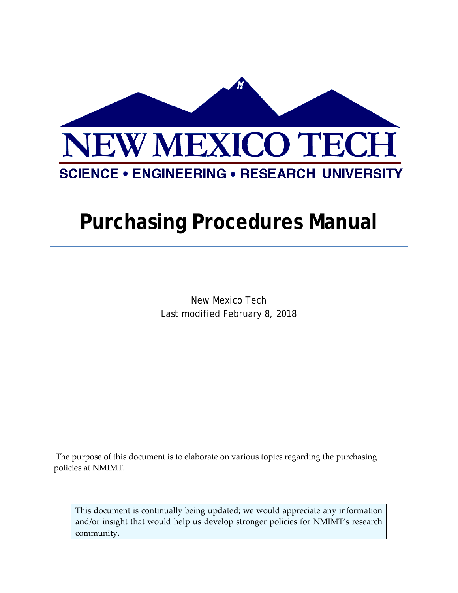

# **Purchasing Procedures Manual**

New Mexico Tech Last modified February 8, 2018

The purpose of this document is to elaborate on various topics regarding the purchasing policies at NMIMT.

This document is continually being updated; we would appreciate any information and/or insight that would help us develop stronger policies for NMIMT's research community.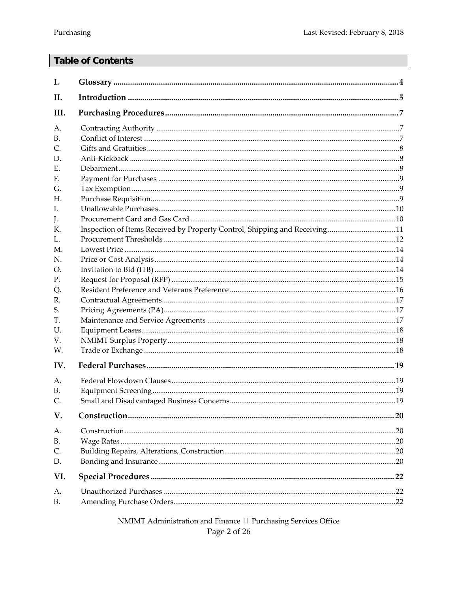## **Table of Contents**

| Ι.          |                                                                            |    |
|-------------|----------------------------------------------------------------------------|----|
| II.         |                                                                            |    |
| III.        |                                                                            |    |
| А.          |                                                                            |    |
| <b>B.</b>   |                                                                            |    |
| C.          |                                                                            |    |
| D.          |                                                                            |    |
| Е.          |                                                                            |    |
| $F_{\cdot}$ |                                                                            |    |
| G.          |                                                                            |    |
| Н.          |                                                                            |    |
| L           |                                                                            |    |
| J.          |                                                                            |    |
| K.          | Inspection of Items Received by Property Control, Shipping and Receiving11 |    |
| L.          |                                                                            |    |
| M.          |                                                                            |    |
| N.          |                                                                            |    |
| O.          |                                                                            |    |
| Ρ.          |                                                                            |    |
| Q.          |                                                                            |    |
| R.          |                                                                            |    |
| S.          |                                                                            |    |
| Т.          |                                                                            |    |
| U.          |                                                                            |    |
| V.          |                                                                            |    |
| W.          |                                                                            |    |
| IV.         |                                                                            |    |
| Α.          |                                                                            |    |
| В.          |                                                                            |    |
| C.          |                                                                            |    |
| V.          |                                                                            |    |
| А.          |                                                                            |    |
| B.          |                                                                            |    |
| C.          |                                                                            |    |
| D.          |                                                                            |    |
| VI.         |                                                                            | 22 |
| А.          |                                                                            |    |
| <b>B.</b>   |                                                                            |    |

NMIMT Administration and Finance | | Purchasing Services Office Page 2 of 26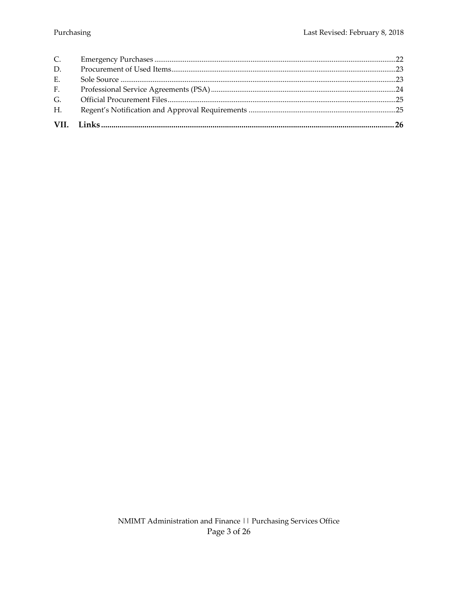| H <sub>1</sub> |  |
|----------------|--|
| G <sub>r</sub> |  |
| F <sub>1</sub> |  |
| E.             |  |
| D.             |  |
| $C_{\cdot}$    |  |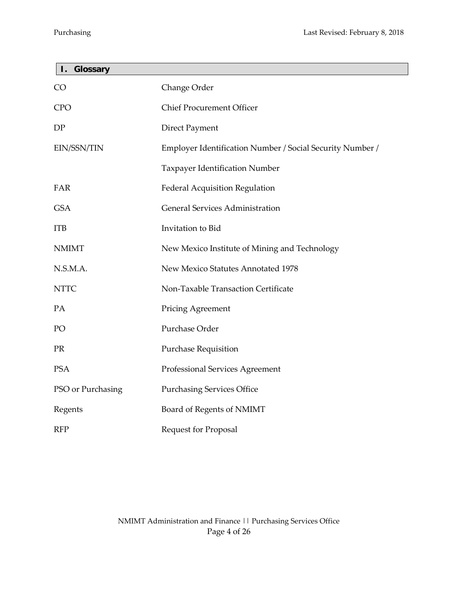<span id="page-3-0"></span>F

| Glossary<br>Ι.    |                                                           |
|-------------------|-----------------------------------------------------------|
| CO                | Change Order                                              |
| <b>CPO</b>        | <b>Chief Procurement Officer</b>                          |
| DP                | <b>Direct Payment</b>                                     |
| EIN/SSN/TIN       | Employer Identification Number / Social Security Number / |
|                   | Taxpayer Identification Number                            |
| FAR               | Federal Acquisition Regulation                            |
| <b>GSA</b>        | <b>General Services Administration</b>                    |
| <b>ITB</b>        | Invitation to Bid                                         |
| <b>NMIMT</b>      | New Mexico Institute of Mining and Technology             |
| N.S.M.A.          | New Mexico Statutes Annotated 1978                        |
| <b>NTTC</b>       | Non-Taxable Transaction Certificate                       |
| PA                | <b>Pricing Agreement</b>                                  |
| PO                | Purchase Order                                            |
| <b>PR</b>         | <b>Purchase Requisition</b>                               |
| <b>PSA</b>        | Professional Services Agreement                           |
| PSO or Purchasing | <b>Purchasing Services Office</b>                         |
| Regents           | Board of Regents of NMIMT                                 |
| <b>RFP</b>        | <b>Request for Proposal</b>                               |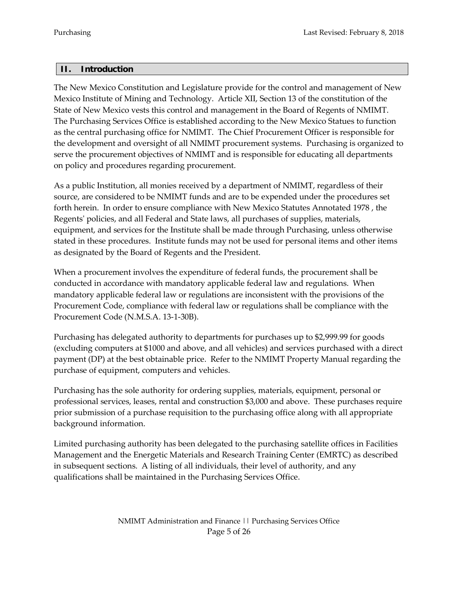## <span id="page-4-0"></span>**II. Introduction**

The New Mexico Constitution and Legislature provide for the control and management of New Mexico Institute of Mining and Technology. Article XII, Section 13 of the constitution of the State of New Mexico vests this control and management in the Board of Regents of NMIMT. The Purchasing Services Office is established according to the New Mexico Statues to function as the central purchasing office for NMIMT. The Chief Procurement Officer is responsible for the development and oversight of all NMIMT procurement systems. Purchasing is organized to serve the procurement objectives of NMIMT and is responsible for educating all departments on policy and procedures regarding procurement.

As a public Institution, all monies received by a department of NMIMT, regardless of their source, are considered to be NMIMT funds and are to be expended under the procedures set forth herein. In order to ensure compliance with New Mexico Statutes Annotated 1978 , the Regents' policies, and all Federal and State laws, all purchases of supplies, materials, equipment, and services for the Institute shall be made through Purchasing, unless otherwise stated in these procedures. Institute funds may not be used for personal items and other items as designated by the Board of Regents and the President.

When a procurement involves the expenditure of federal funds, the procurement shall be conducted in accordance with mandatory applicable federal law and regulations. When mandatory applicable federal law or regulations are inconsistent with the provisions of the Procurement Code, compliance with federal law or regulations shall be compliance with the Procurement Code (N.M.S.A. 13-1-30B).

Purchasing has delegated authority to departments for purchases up to \$2,999.99 for goods (excluding computers at \$1000 and above, and all vehicles) and services purchased with a direct payment (DP) at the best obtainable price. Refer to the NMIMT Property Manual regarding the purchase of equipment, computers and vehicles.

Purchasing has the sole authority for ordering supplies, materials, equipment, personal or professional services, leases, rental and construction \$3,000 and above. These purchases require prior submission of a purchase requisition to the purchasing office along with all appropriate background information.

Limited purchasing authority has been delegated to the purchasing satellite offices in Facilities Management and the Energetic Materials and Research Training Center (EMRTC) as described in subsequent sections. A listing of all individuals, their level of authority, and any qualifications shall be maintained in the Purchasing Services Office.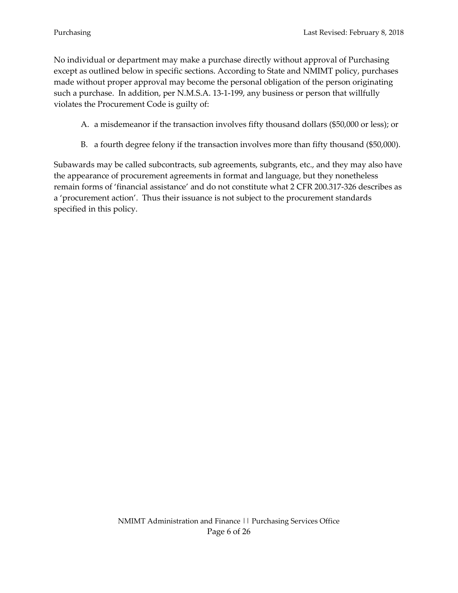No individual or department may make a purchase directly without approval of Purchasing except as outlined below in specific sections. According to State and NMIMT policy, purchases made without proper approval may become the personal obligation of the person originating such a purchase. In addition, per N.M.S.A. 13-1-199, any business or person that willfully violates the Procurement Code is guilty of:

- A. a misdemeanor if the transaction involves fifty thousand dollars (\$50,000 or less); or
- B. a fourth degree felony if the transaction involves more than fifty thousand (\$50,000).

Subawards may be called subcontracts, sub agreements, subgrants, etc., and they may also have the appearance of procurement agreements in format and language, but they nonetheless remain forms of 'financial assistance' and do not constitute what 2 CFR 200.317-326 describes as a 'procurement action'. Thus their issuance is not subject to the procurement standards specified in this policy.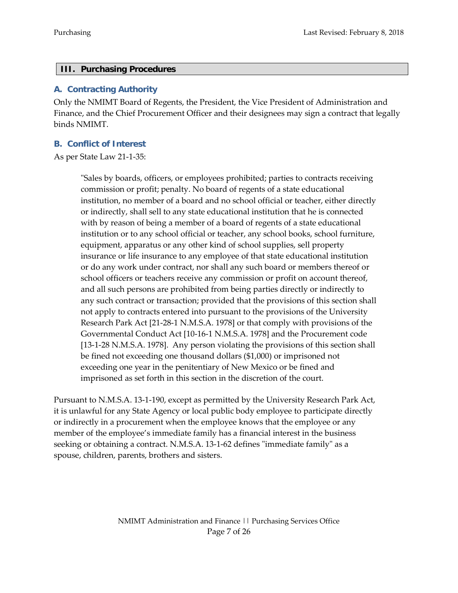#### <span id="page-6-0"></span>**III. Purchasing Procedures**

#### <span id="page-6-1"></span>**A. Contracting Authority**

Only the NMIMT Board of Regents, the President, the Vice President of Administration and Finance, and the Chief Procurement Officer and their designees may sign a contract that legally binds NMIMT.

## <span id="page-6-2"></span>**B. Conflict of Interest**

As per State Law 21-1-35:

"Sales by boards, officers, or employees prohibited; parties to contracts receiving commission or profit; penalty. No board of regents of a state educational institution, no member of a board and no school official or teacher, either directly or indirectly, shall sell to any state educational institution that he is connected with by reason of being a member of a board of regents of a state educational institution or to any school official or teacher, any school books, school furniture, equipment, apparatus or any other kind of school supplies, sell property insurance or life insurance to any employee of that state educational institution or do any work under contract, nor shall any such board or members thereof or school officers or teachers receive any commission or profit on account thereof, and all such persons are prohibited from being parties directly or indirectly to any such contract or transaction; provided that the provisions of this section shall not apply to contracts entered into pursuant to the provisions of the University Research Park Act [21-28-1 N.M.S.A. 1978] or that comply with provisions of the Governmental Conduct Act [10-16-1 N.M.S.A. 1978] and the Procurement code [13-1-28 N.M.S.A. 1978]. Any person violating the provisions of this section shall be fined not exceeding one thousand dollars (\$1,000) or imprisoned not exceeding one year in the penitentiary of New Mexico or be fined and imprisoned as set forth in this section in the discretion of the court.

Pursuant to N.M.S.A. 13-1-190, except as permitted by the University Research Park Act, it is unlawful for any State Agency or local public body employee to participate directly or indirectly in a procurement when the employee knows that the employee or any member of the employee's immediate family has a financial interest in the business seeking or obtaining a contract. N.M.S.A. 13-1-62 defines "immediate family" as a spouse, children, parents, brothers and sisters.

> NMIMT Administration and Finance || Purchasing Services Office Page 7 of 26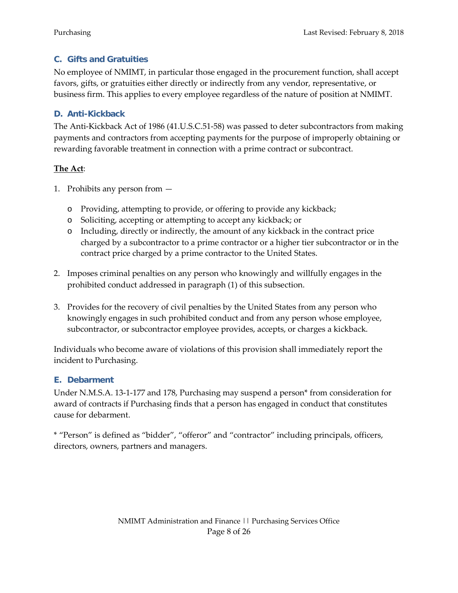## <span id="page-7-0"></span>**C. Gifts and Gratuities**

No employee of NMIMT, in particular those engaged in the procurement function, shall accept favors, gifts, or gratuities either directly or indirectly from any vendor, representative, or business firm. This applies to every employee regardless of the nature of position at NMIMT.

## <span id="page-7-1"></span>**D. Anti-Kickback**

The Anti-Kickback Act of 1986 (41.U.S.C.51-58) was passed to deter subcontractors from making payments and contractors from accepting payments for the purpose of improperly obtaining or rewarding favorable treatment in connection with a prime contract or subcontract.

## **The Act**:

- 1. Prohibits any person from
	- o Providing, attempting to provide, or offering to provide any kickback;
	- o Soliciting, accepting or attempting to accept any kickback; or
	- o Including, directly or indirectly, the amount of any kickback in the contract price charged by a subcontractor to a prime contractor or a higher tier subcontractor or in the contract price charged by a prime contractor to the United States.
- 2. Imposes criminal penalties on any person who knowingly and willfully engages in the prohibited conduct addressed in paragraph (1) of this subsection.
- 3. Provides for the recovery of civil penalties by the United States from any person who knowingly engages in such prohibited conduct and from any person whose employee, subcontractor, or subcontractor employee provides, accepts, or charges a kickback.

Individuals who become aware of violations of this provision shall immediately report the incident to Purchasing.

## <span id="page-7-2"></span>**E. Debarment**

Under N.M.S.A. 13-1-177 and 178, Purchasing may suspend a person\* from consideration for award of contracts if Purchasing finds that a person has engaged in conduct that constitutes cause for debarment.

\* "Person" is defined as "bidder", "offeror" and "contractor" including principals, officers, directors, owners, partners and managers.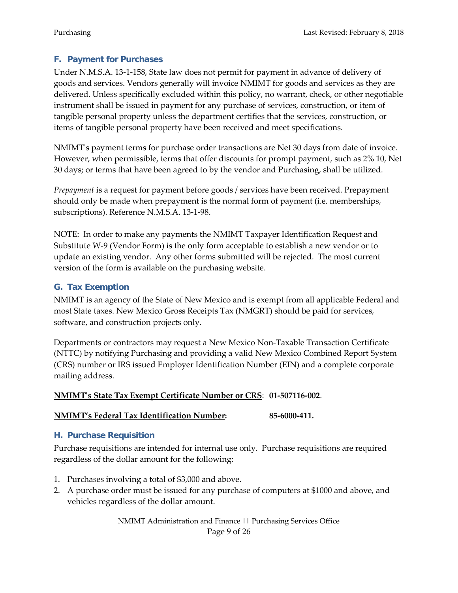## <span id="page-8-0"></span>**F. Payment for Purchases**

Under N.M.S.A. 13-1-158, State law does not permit for payment in advance of delivery of goods and services. Vendors generally will invoice NMIMT for goods and services as they are delivered. Unless specifically excluded within this policy, no warrant, check, or other negotiable instrument shall be issued in payment for any purchase of services, construction, or item of tangible personal property unless the department certifies that the services, construction, or items of tangible personal property have been received and meet specifications.

NMIMT's payment terms for purchase order transactions are Net 30 days from date of invoice. However, when permissible, terms that offer discounts for prompt payment, such as 2% 10, Net 30 days; or terms that have been agreed to by the vendor and Purchasing, shall be utilized.

*Prepayment* is a request for payment before goods / services have been received. Prepayment should only be made when prepayment is the normal form of payment (i.e. memberships, subscriptions). Reference N.M.S.A. 13-1-98.

NOTE: In order to make any payments the NMIMT Taxpayer Identification Request and Substitute W-9 (Vendor Form) is the only form acceptable to establish a new vendor or to update an existing vendor. Any other forms submitted will be rejected. The most current version of the form is available on the purchasing website.

## <span id="page-8-1"></span>**G. Tax Exemption**

NMIMT is an agency of the State of New Mexico and is exempt from all applicable Federal and most State taxes. New Mexico Gross Receipts Tax (NMGRT) should be paid for services, software, and construction projects only.

Departments or contractors may request a New Mexico Non-Taxable Transaction Certificate (NTTC) by notifying Purchasing and providing a valid New Mexico Combined Report System (CRS) number or IRS issued Employer Identification Number (EIN) and a complete corporate mailing address.

#### **NMIMT's State Tax Exempt Certificate Number or CRS**: **01-507116-002**.

#### **NMIMT's Federal Tax Identification Number: 85-6000-411.**

## <span id="page-8-2"></span>**H. Purchase Requisition**

Purchase requisitions are intended for internal use only. Purchase requisitions are required regardless of the dollar amount for the following:

- 1. Purchases involving a total of \$3,000 and above.
- 2. A purchase order must be issued for any purchase of computers at \$1000 and above, and vehicles regardless of the dollar amount.

NMIMT Administration and Finance || Purchasing Services Office Page 9 of 26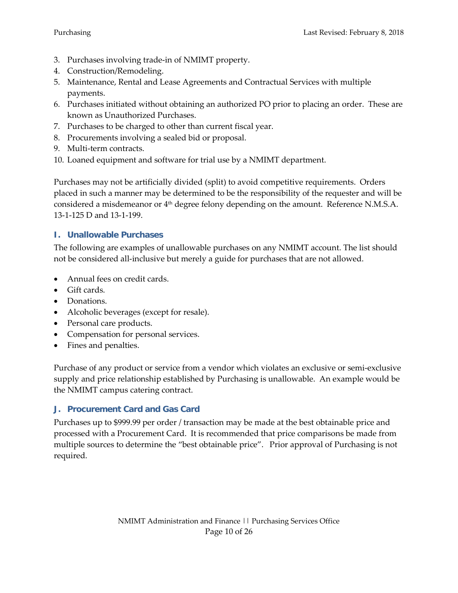- 3. Purchases involving trade-in of NMIMT property.
- 4. Construction/Remodeling.
- 5. Maintenance, Rental and Lease Agreements and Contractual Services with multiple payments.
- 6. Purchases initiated without obtaining an authorized PO prior to placing an order. These are known as Unauthorized Purchases.
- 7. Purchases to be charged to other than current fiscal year.
- 8. Procurements involving a sealed bid or proposal.
- 9. Multi-term contracts.
- 10. Loaned equipment and software for trial use by a NMIMT department.

Purchases may not be artificially divided (split) to avoid competitive requirements. Orders placed in such a manner may be determined to be the responsibility of the requester and will be considered a misdemeanor or  $4<sup>th</sup>$  degree felony depending on the amount. Reference N.M.S.A. 13-1-125 D and 13-1-199.

## <span id="page-9-0"></span>**I. Unallowable Purchases**

The following are examples of unallowable purchases on any NMIMT account. The list should not be considered all-inclusive but merely a guide for purchases that are not allowed.

- Annual fees on credit cards.
- Gift cards.
- Donations.
- Alcoholic beverages (except for resale).
- Personal care products.
- Compensation for personal services.
- Fines and penalties.

Purchase of any product or service from a vendor which violates an exclusive or semi-exclusive supply and price relationship established by Purchasing is unallowable. An example would be the NMIMT campus catering contract.

## <span id="page-9-1"></span>**J. Procurement Card and Gas Card**

Purchases up to \$999.99 per order / transaction may be made at the best obtainable price and processed with a Procurement Card. It is recommended that price comparisons be made from multiple sources to determine the "best obtainable price". Prior approval of Purchasing is not required.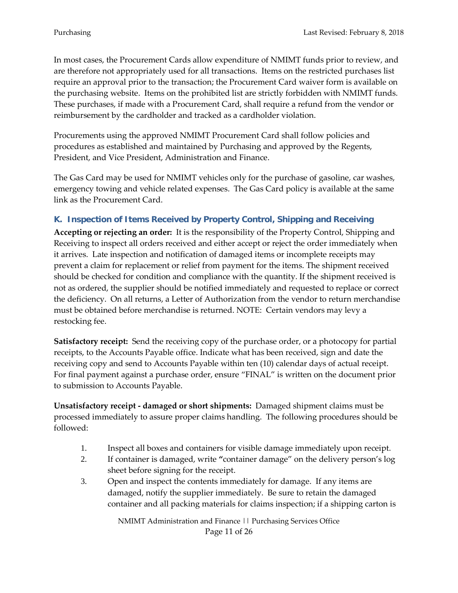In most cases, the Procurement Cards allow expenditure of NMIMT funds prior to review, and are therefore not appropriately used for all transactions. Items on the restricted purchases list require an approval prior to the transaction; the Procurement Card waiver form is available on the purchasing website. Items on the prohibited list are strictly forbidden with NMIMT funds. These purchases, if made with a Procurement Card, shall require a refund from the vendor or reimbursement by the cardholder and tracked as a cardholder violation.

Procurements using the approved NMIMT Procurement Card shall follow policies and procedures as established and maintained by Purchasing and approved by the Regents, President, and Vice President, Administration and Finance.

The Gas Card may be used for NMIMT vehicles only for the purchase of gasoline, car washes, emergency towing and vehicle related expenses. The Gas Card policy is available at the same link as the Procurement Card.

## <span id="page-10-0"></span>**K. Inspection of Items Received by Property Control, Shipping and Receiving**

**Accepting or rejecting an order:** It is the responsibility of the Property Control, Shipping and Receiving to inspect all orders received and either accept or reject the order immediately when it arrives. Late inspection and notification of damaged items or incomplete receipts may prevent a claim for replacement or relief from payment for the items. The shipment received should be checked for condition and compliance with the quantity. If the shipment received is not as ordered, the supplier should be notified immediately and requested to replace or correct the deficiency. On all returns, a Letter of Authorization from the vendor to return merchandise must be obtained before merchandise is returned. NOTE: Certain vendors may levy a restocking fee.

**Satisfactory receipt:** Send the receiving copy of the purchase order, or a photocopy for partial receipts, to the Accounts Payable office. Indicate what has been received, sign and date the receiving copy and send to Accounts Payable within ten (10) calendar days of actual receipt. For final payment against a purchase order, ensure "FINAL" is written on the document prior to submission to Accounts Payable.

**Unsatisfactory receipt - damaged or short shipments:** Damaged shipment claims must be processed immediately to assure proper claims handling. The following procedures should be followed:

- 1. Inspect all boxes and containers for visible damage immediately upon receipt.
- 2. If container is damaged, write **"**container damage" on the delivery person's log sheet before signing for the receipt.
- 3. Open and inspect the contents immediately for damage. If any items are damaged, notify the supplier immediately. Be sure to retain the damaged container and all packing materials for claims inspection; if a shipping carton is

NMIMT Administration and Finance || Purchasing Services Office Page 11 of 26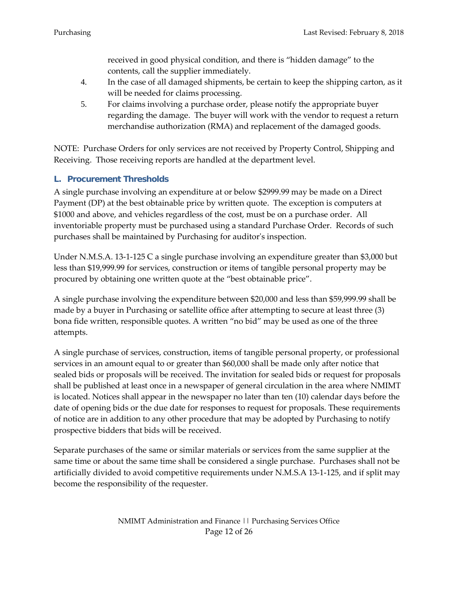received in good physical condition, and there is "hidden damage" to the contents, call the supplier immediately.

- 4. In the case of all damaged shipments, be certain to keep the shipping carton, as it will be needed for claims processing.
- 5. For claims involving a purchase order, please notify the appropriate buyer regarding the damage. The buyer will work with the vendor to request a return merchandise authorization (RMA) and replacement of the damaged goods.

NOTE: Purchase Orders for only services are not received by Property Control, Shipping and Receiving. Those receiving reports are handled at the department level.

## <span id="page-11-0"></span>**L. Procurement Thresholds**

A single purchase involving an expenditure at or below \$2999.99 may be made on a Direct Payment (DP) at the best obtainable price by written quote. The exception is computers at \$1000 and above, and vehicles regardless of the cost, must be on a purchase order. All inventoriable property must be purchased using a standard Purchase Order. Records of such purchases shall be maintained by Purchasing for auditor's inspection.

Under N.M.S.A. 13-1-125 C a single purchase involving an expenditure greater than \$3,000 but less than \$19,999.99 for services, construction or items of tangible personal property may be procured by obtaining one written quote at the "best obtainable price".

A single purchase involving the expenditure between \$20,000 and less than \$59,999.99 shall be made by a buyer in Purchasing or satellite office after attempting to secure at least three (3) bona fide written, responsible quotes. A written "no bid" may be used as one of the three attempts.

A single purchase of services, construction, items of tangible personal property, or professional services in an amount equal to or greater than \$60,000 shall be made only after notice that sealed bids or proposals will be received. The invitation for sealed bids or request for proposals shall be published at least once in a newspaper of general circulation in the area where NMIMT is located. Notices shall appear in the newspaper no later than ten (10) calendar days before the date of opening bids or the due date for responses to request for proposals. These requirements of notice are in addition to any other procedure that may be adopted by Purchasing to notify prospective bidders that bids will be received.

Separate purchases of the same or similar materials or services from the same supplier at the same time or about the same time shall be considered a single purchase. Purchases shall not be artificially divided to avoid competitive requirements under N.M.S.A 13-1-125, and if split may become the responsibility of the requester.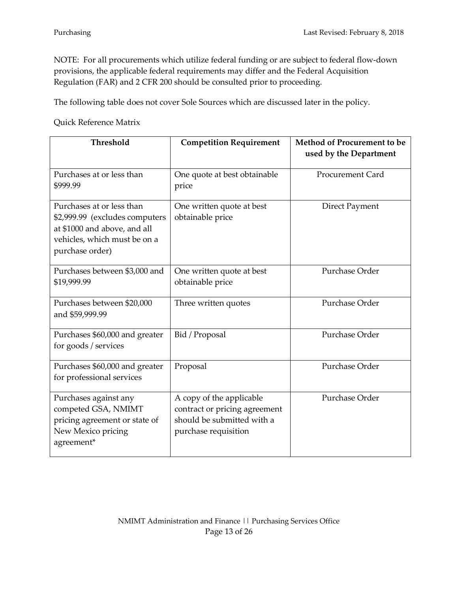NOTE: For all procurements which utilize federal funding or are subject to federal flow-down provisions, the applicable federal requirements may differ and the Federal Acquisition Regulation (FAR) and 2 CFR 200 should be consulted prior to proceeding.

The following table does not cover Sole Sources which are discussed later in the policy.

Quick Reference Matrix

| Threshold                                                                                                                                      | <b>Competition Requirement</b>                                                                                  | Method of Procurement to be<br>used by the Department |
|------------------------------------------------------------------------------------------------------------------------------------------------|-----------------------------------------------------------------------------------------------------------------|-------------------------------------------------------|
| Purchases at or less than<br>\$999.99                                                                                                          | One quote at best obtainable<br>price                                                                           | <b>Procurement Card</b>                               |
| Purchases at or less than<br>\$2,999.99 (excludes computers<br>at \$1000 and above, and all<br>vehicles, which must be on a<br>purchase order) | One written quote at best<br>obtainable price                                                                   | <b>Direct Payment</b>                                 |
| Purchases between \$3,000 and<br>\$19,999.99                                                                                                   | One written quote at best<br>obtainable price                                                                   | Purchase Order                                        |
| Purchases between \$20,000<br>and \$59,999.99                                                                                                  | Three written quotes                                                                                            | Purchase Order                                        |
| Purchases \$60,000 and greater<br>for goods / services                                                                                         | Bid / Proposal                                                                                                  | Purchase Order                                        |
| Purchases \$60,000 and greater<br>for professional services                                                                                    | Proposal                                                                                                        | Purchase Order                                        |
| Purchases against any<br>competed GSA, NMIMT<br>pricing agreement or state of<br>New Mexico pricing<br>agreement*                              | A copy of the applicable<br>contract or pricing agreement<br>should be submitted with a<br>purchase requisition | Purchase Order                                        |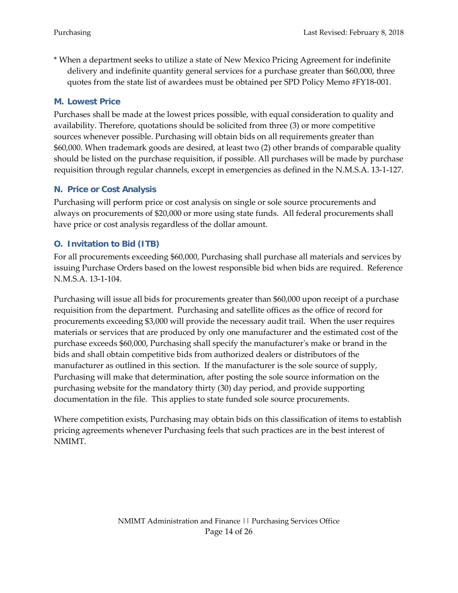\* When a department seeks to utilize a state of New Mexico Pricing Agreement for indefinite delivery and indefinite quantity general services for a purchase greater than \$60,000, three quotes from the state list of awardees must be obtained per SPD Policy Memo #FY18-001.

#### <span id="page-13-0"></span>**M. Lowest Price**

Purchases shall be made at the lowest prices possible, with equal consideration to quality and availability. Therefore, quotations should be solicited from three (3) or more competitive sources whenever possible. Purchasing will obtain bids on all requirements greater than \$60,000. When trademark goods are desired, at least two (2) other brands of comparable quality should be listed on the purchase requisition, if possible. All purchases will be made by purchase requisition through regular channels, except in emergencies as defined in the N.M.S.A. 13-1-127.

#### <span id="page-13-1"></span>**N. Price or Cost Analysis**

Purchasing will perform price or cost analysis on single or sole source procurements and always on procurements of \$20,000 or more using state funds. All federal procurements shall have price or cost analysis regardless of the dollar amount.

## <span id="page-13-2"></span>**O. Invitation to Bid (ITB)**

For all procurements exceeding \$60,000, Purchasing shall purchase all materials and services by issuing Purchase Orders based on the lowest responsible bid when bids are required. Reference N.M.S.A. 13-1-104.

Purchasing will issue all bids for procurements greater than \$60,000 upon receipt of a purchase requisition from the department. Purchasing and satellite offices as the office of record for procurements exceeding \$3,000 will provide the necessary audit trail. When the user requires materials or services that are produced by only one manufacturer and the estimated cost of the purchase exceeds \$60,000, Purchasing shall specify the manufacturer's make or brand in the bids and shall obtain competitive bids from authorized dealers or distributors of the manufacturer as outlined in this section. If the manufacturer is the sole source of supply, Purchasing will make that determination, after posting the sole source information on the purchasing website for the mandatory thirty (30) day period, and provide supporting documentation in the file. This applies to state funded sole source procurements.

Where competition exists, Purchasing may obtain bids on this classification of items to establish pricing agreements whenever Purchasing feels that such practices are in the best interest of NMIMT.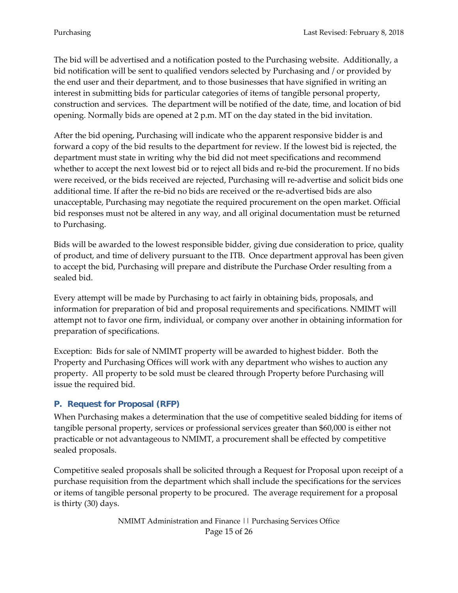The bid will be advertised and a notification posted to the Purchasing website. Additionally, a bid notification will be sent to qualified vendors selected by Purchasing and / or provided by the end user and their department, and to those businesses that have signified in writing an interest in submitting bids for particular categories of items of tangible personal property, construction and services. The department will be notified of the date, time, and location of bid opening. Normally bids are opened at 2 p.m. MT on the day stated in the bid invitation.

After the bid opening, Purchasing will indicate who the apparent responsive bidder is and forward a copy of the bid results to the department for review. If the lowest bid is rejected, the department must state in writing why the bid did not meet specifications and recommend whether to accept the next lowest bid or to reject all bids and re-bid the procurement. If no bids were received, or the bids received are rejected, Purchasing will re-advertise and solicit bids one additional time. If after the re-bid no bids are received or the re-advertised bids are also unacceptable, Purchasing may negotiate the required procurement on the open market. Official bid responses must not be altered in any way, and all original documentation must be returned to Purchasing.

Bids will be awarded to the lowest responsible bidder, giving due consideration to price, quality of product, and time of delivery pursuant to the ITB. Once department approval has been given to accept the bid, Purchasing will prepare and distribute the Purchase Order resulting from a sealed bid.

Every attempt will be made by Purchasing to act fairly in obtaining bids, proposals, and information for preparation of bid and proposal requirements and specifications. NMIMT will attempt not to favor one firm, individual, or company over another in obtaining information for preparation of specifications.

Exception: Bids for sale of NMIMT property will be awarded to highest bidder. Both the Property and Purchasing Offices will work with any department who wishes to auction any property. All property to be sold must be cleared through Property before Purchasing will issue the required bid.

## <span id="page-14-0"></span>**P. Request for Proposal (RFP)**

When Purchasing makes a determination that the use of competitive sealed bidding for items of tangible personal property, services or professional services greater than \$60,000 is either not practicable or not advantageous to NMIMT, a procurement shall be effected by competitive sealed proposals.

Competitive sealed proposals shall be solicited through a Request for Proposal upon receipt of a purchase requisition from the department which shall include the specifications for the services or items of tangible personal property to be procured. The average requirement for a proposal is thirty (30) days.

> NMIMT Administration and Finance || Purchasing Services Office Page 15 of 26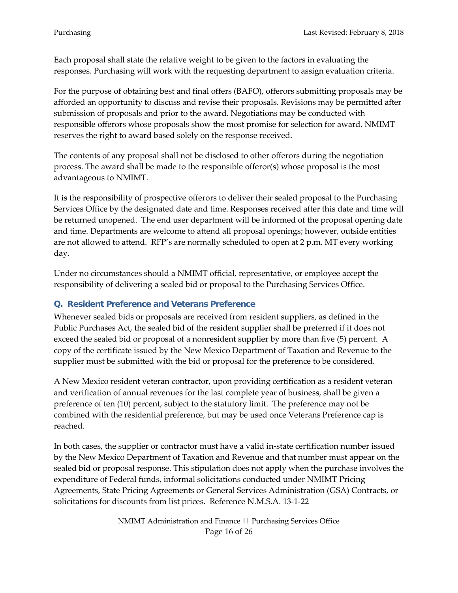Each proposal shall state the relative weight to be given to the factors in evaluating the responses. Purchasing will work with the requesting department to assign evaluation criteria.

For the purpose of obtaining best and final offers (BAFO), offerors submitting proposals may be afforded an opportunity to discuss and revise their proposals. Revisions may be permitted after submission of proposals and prior to the award. Negotiations may be conducted with responsible offerors whose proposals show the most promise for selection for award. NMIMT reserves the right to award based solely on the response received.

The contents of any proposal shall not be disclosed to other offerors during the negotiation process. The award shall be made to the responsible offeror(s) whose proposal is the most advantageous to NMIMT.

It is the responsibility of prospective offerors to deliver their sealed proposal to the Purchasing Services Office by the designated date and time. Responses received after this date and time will be returned unopened. The end user department will be informed of the proposal opening date and time. Departments are welcome to attend all proposal openings; however, outside entities are not allowed to attend. RFP's are normally scheduled to open at 2 p.m. MT every working day.

Under no circumstances should a NMIMT official, representative, or employee accept the responsibility of delivering a sealed bid or proposal to the Purchasing Services Office.

#### <span id="page-15-0"></span>**Q. Resident Preference and Veterans Preference**

Whenever sealed bids or proposals are received from resident suppliers, as defined in the Public Purchases Act, the sealed bid of the resident supplier shall be preferred if it does not exceed the sealed bid or proposal of a nonresident supplier by more than five (5) percent. A copy of the certificate issued by the New Mexico Department of Taxation and Revenue to the supplier must be submitted with the bid or proposal for the preference to be considered.

A New Mexico resident veteran contractor, upon providing certification as a resident veteran and verification of annual revenues for the last complete year of business, shall be given a preference of ten (10) percent, subject to the statutory limit. The preference may not be combined with the residential preference, but may be used once Veterans Preference cap is reached.

In both cases, the supplier or contractor must have a valid in-state certification number issued by the New Mexico Department of Taxation and Revenue and that number must appear on the sealed bid or proposal response. This stipulation does not apply when the purchase involves the expenditure of Federal funds, informal solicitations conducted under NMIMT Pricing Agreements, State Pricing Agreements or General Services Administration (GSA) Contracts, or solicitations for discounts from list prices. Reference N.M.S.A. 13-1-22

> NMIMT Administration and Finance || Purchasing Services Office Page 16 of 26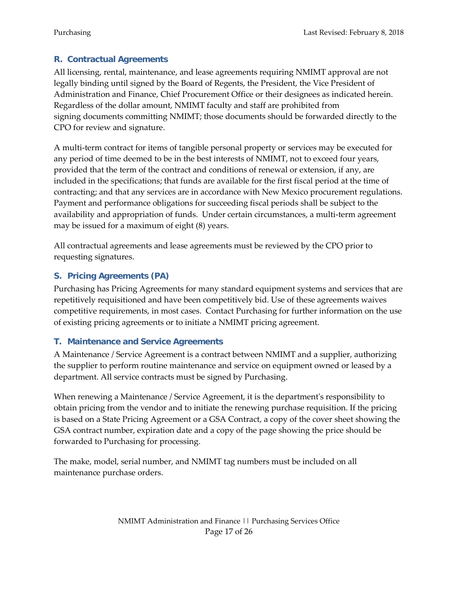## <span id="page-16-0"></span>**R. Contractual Agreements**

All licensing, rental, maintenance, and lease agreements requiring NMIMT approval are not legally binding until signed by the Board of Regents, the President, the Vice President of Administration and Finance, Chief Procurement Office or their designees as indicated herein. Regardless of the dollar amount, NMIMT faculty and staff are prohibited from signing documents committing NMIMT; those documents should be forwarded directly to the CPO for review and signature.

A multi-term contract for items of tangible personal property or services may be executed for any period of time deemed to be in the best interests of NMIMT, not to exceed four years, provided that the term of the contract and conditions of renewal or extension, if any, are included in the specifications; that funds are available for the first fiscal period at the time of contracting; and that any services are in accordance with New Mexico procurement regulations. Payment and performance obligations for succeeding fiscal periods shall be subject to the availability and appropriation of funds. Under certain circumstances, a multi-term agreement may be issued for a maximum of eight (8) years.

All contractual agreements and lease agreements must be reviewed by the CPO prior to requesting signatures.

## <span id="page-16-1"></span>**S. Pricing Agreements (PA)**

Purchasing has Pricing Agreements for many standard equipment systems and services that are repetitively requisitioned and have been competitively bid. Use of these agreements waives competitive requirements, in most cases. Contact Purchasing for further information on the use of existing pricing agreements or to initiate a NMIMT pricing agreement.

## <span id="page-16-2"></span>**T. Maintenance and Service Agreements**

A Maintenance / Service Agreement is a contract between NMIMT and a supplier, authorizing the supplier to perform routine maintenance and service on equipment owned or leased by a department. All service contracts must be signed by Purchasing.

When renewing a Maintenance / Service Agreement, it is the department's responsibility to obtain pricing from the vendor and to initiate the renewing purchase requisition. If the pricing is based on a State Pricing Agreement or a GSA Contract, a copy of the cover sheet showing the GSA contract number, expiration date and a copy of the page showing the price should be forwarded to Purchasing for processing.

The make, model, serial number, and NMIMT tag numbers must be included on all maintenance purchase orders.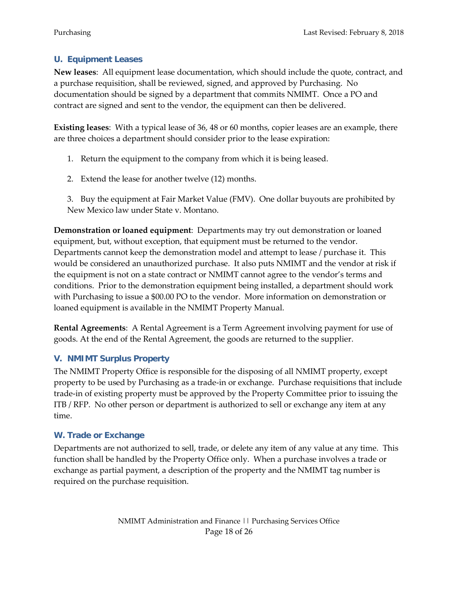## <span id="page-17-0"></span>**U. Equipment Leases**

**New leases**: All equipment lease documentation, which should include the quote, contract, and a purchase requisition, shall be reviewed, signed, and approved by Purchasing. No documentation should be signed by a department that commits NMIMT. Once a PO and contract are signed and sent to the vendor, the equipment can then be delivered.

**Existing leases**: With a typical lease of 36, 48 or 60 months, copier leases are an example, there are three choices a department should consider prior to the lease expiration:

- 1. Return the equipment to the company from which it is being leased.
- 2. Extend the lease for another twelve (12) months.

3. Buy the equipment at Fair Market Value (FMV). One dollar buyouts are prohibited by New Mexico law under State v. Montano.

**Demonstration or loaned equipment**: Departments may try out demonstration or loaned equipment, but, without exception, that equipment must be returned to the vendor. Departments cannot keep the demonstration model and attempt to lease / purchase it. This would be considered an unauthorized purchase. It also puts NMIMT and the vendor at risk if the equipment is not on a state contract or NMIMT cannot agree to the vendor's terms and conditions. Prior to the demonstration equipment being installed, a department should work with Purchasing to issue a \$00.00 PO to the vendor. More information on demonstration or loaned equipment is available in the NMIMT Property Manual.

**Rental Agreements**: A Rental Agreement is a Term Agreement involving payment for use of goods. At the end of the Rental Agreement, the goods are returned to the supplier.

## <span id="page-17-1"></span>**V. NMIMT Surplus Property**

The NMIMT Property Office is responsible for the disposing of all NMIMT property, except property to be used by Purchasing as a trade-in or exchange. Purchase requisitions that include trade-in of existing property must be approved by the Property Committee prior to issuing the ITB / RFP. No other person or department is authorized to sell or exchange any item at any time.

## <span id="page-17-2"></span>**W. Trade or Exchange**

Departments are not authorized to sell, trade, or delete any item of any value at any time. This function shall be handled by the Property Office only. When a purchase involves a trade or exchange as partial payment, a description of the property and the NMIMT tag number is required on the purchase requisition.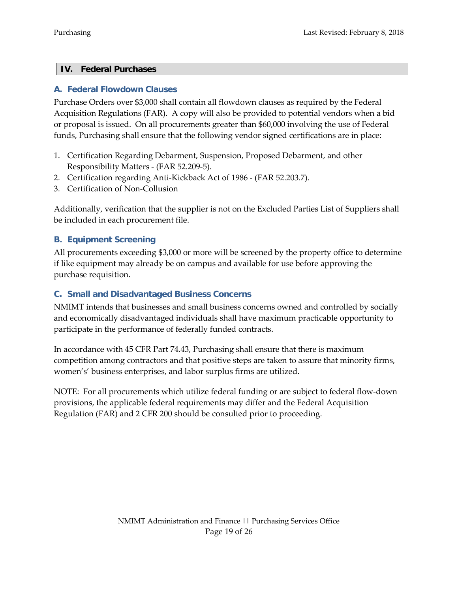#### <span id="page-18-0"></span>**IV. Federal Purchases**

#### <span id="page-18-1"></span>**A. Federal Flowdown Clauses**

Purchase Orders over \$3,000 shall contain all flowdown clauses as required by the Federal Acquisition Regulations (FAR). A copy will also be provided to potential vendors when a bid or proposal is issued. On all procurements greater than \$60,000 involving the use of Federal funds, Purchasing shall ensure that the following vendor signed certifications are in place:

- 1. Certification Regarding Debarment, Suspension, Proposed Debarment, and other Responsibility Matters - (FAR 52.209-5).
- 2. Certification regarding Anti-Kickback Act of 1986 (FAR 52.203.7).
- 3. Certification of Non-Collusion

Additionally, verification that the supplier is not on the Excluded Parties List of Suppliers shall be included in each procurement file.

## <span id="page-18-2"></span>**B. Equipment Screening**

All procurements exceeding \$3,000 or more will be screened by the property office to determine if like equipment may already be on campus and available for use before approving the purchase requisition.

## <span id="page-18-3"></span>**C. Small and Disadvantaged Business Concerns**

NMIMT intends that businesses and small business concerns owned and controlled by socially and economically disadvantaged individuals shall have maximum practicable opportunity to participate in the performance of federally funded contracts.

In accordance with 45 CFR Part 74.43, Purchasing shall ensure that there is maximum competition among contractors and that positive steps are taken to assure that minority firms, women's' business enterprises, and labor surplus firms are utilized.

NOTE: For all procurements which utilize federal funding or are subject to federal flow-down provisions, the applicable federal requirements may differ and the Federal Acquisition Regulation (FAR) and 2 CFR 200 should be consulted prior to proceeding.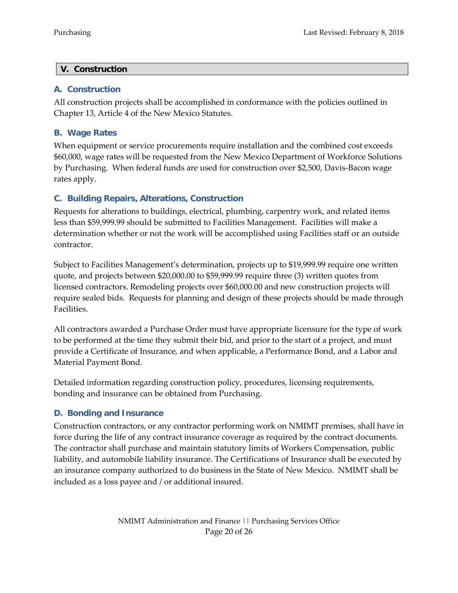#### <span id="page-19-0"></span>**V. Construction**

#### <span id="page-19-1"></span>**A. Construction**

All construction projects shall be accomplished in conformance with the policies outlined in Chapter 13, Article 4 of the New Mexico Statutes.

## <span id="page-19-2"></span>**B. Wage Rates**

When equipment or service procurements require installation and the combined cost exceeds \$60,000, wage rates will be requested from the New Mexico Department of Workforce Solutions by Purchasing. When federal funds are used for construction over \$2,500, Davis-Bacon wage rates apply.

## <span id="page-19-3"></span>**C. Building Repairs, Alterations, Construction**

Requests for alterations to buildings, electrical, plumbing, carpentry work, and related items less than \$59,999.99 should be submitted to Facilities Management. Facilities will make a determination whether or not the work will be accomplished using Facilities staff or an outside contractor.

Subject to Facilities Management's determination, projects up to \$19,999.99 require one written quote, and projects between \$20,000.00 to \$59,999.99 require three (3) written quotes from licensed contractors. Remodeling projects over \$60,000.00 and new construction projects will require sealed bids. Requests for planning and design of these projects should be made through Facilities.

All contractors awarded a Purchase Order must have appropriate licensure for the type of work to be performed at the time they submit their bid, and prior to the start of a project, and must provide a Certificate of Insurance, and when applicable, a Performance Bond, and a Labor and Material Payment Bond.

Detailed information regarding construction policy, procedures, licensing requirements, bonding and insurance can be obtained from Purchasing.

## <span id="page-19-4"></span>**D. Bonding and Insurance**

Construction contractors, or any contractor performing work on NMIMT premises, shall have in force during the life of any contract insurance coverage as required by the contract documents. The contractor shall purchase and maintain statutory limits of Workers Compensation, public liability, and automobile liability insurance. The Certifications of Insurance shall be executed by an insurance company authorized to do business in the State of New Mexico. NMIMT shall be included as a loss payee and / or additional insured.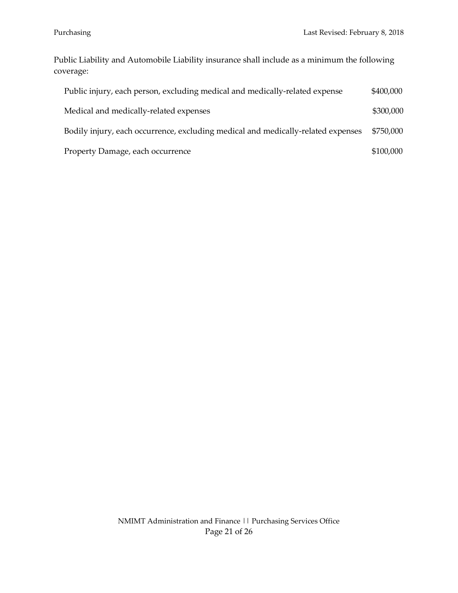Public Liability and Automobile Liability insurance shall include as a minimum the following coverage:

| Public injury, each person, excluding medical and medically-related expense      | \$400,000 |
|----------------------------------------------------------------------------------|-----------|
| Medical and medically-related expenses                                           | \$300,000 |
| Bodily injury, each occurrence, excluding medical and medically-related expenses | \$750,000 |
| Property Damage, each occurrence                                                 | \$100,000 |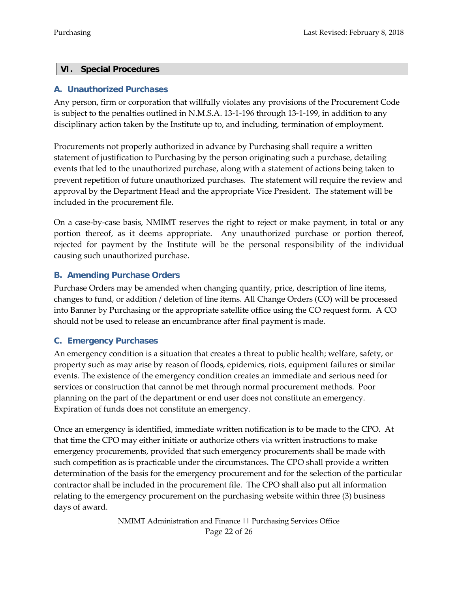#### <span id="page-21-0"></span>**VI. Special Procedures**

#### <span id="page-21-1"></span>**A. Unauthorized Purchases**

Any person, firm or corporation that willfully violates any provisions of the Procurement Code is subject to the penalties outlined in N.M.S.A. 13-1-196 through 13-1-199, in addition to any disciplinary action taken by the Institute up to, and including, termination of employment.

Procurements not properly authorized in advance by Purchasing shall require a written statement of justification to Purchasing by the person originating such a purchase, detailing events that led to the unauthorized purchase, along with a statement of actions being taken to prevent repetition of future unauthorized purchases. The statement will require the review and approval by the Department Head and the appropriate Vice President. The statement will be included in the procurement file.

On a case-by-case basis, NMIMT reserves the right to reject or make payment, in total or any portion thereof, as it deems appropriate. Any unauthorized purchase or portion thereof, rejected for payment by the Institute will be the personal responsibility of the individual causing such unauthorized purchase.

#### <span id="page-21-2"></span>**B. Amending Purchase Orders**

Purchase Orders may be amended when changing quantity, price, description of line items, changes to fund, or addition / deletion of line items. All Change Orders (CO) will be processed into Banner by Purchasing or the appropriate satellite office using the CO request form. A CO should not be used to release an encumbrance after final payment is made.

#### <span id="page-21-3"></span>**C. Emergency Purchases**

An emergency condition is a situation that creates a threat to public health; welfare, safety, or property such as may arise by reason of floods, epidemics, riots, equipment failures or similar events. The existence of the emergency condition creates an immediate and serious need for services or construction that cannot be met through normal procurement methods. Poor planning on the part of the department or end user does not constitute an emergency. Expiration of funds does not constitute an emergency.

Once an emergency is identified, immediate written notification is to be made to the CPO. At that time the CPO may either initiate or authorize others via written instructions to make emergency procurements, provided that such emergency procurements shall be made with such competition as is practicable under the circumstances. The CPO shall provide a written determination of the basis for the emergency procurement and for the selection of the particular contractor shall be included in the procurement file. The CPO shall also put all information relating to the emergency procurement on the purchasing website within three (3) business days of award.

> NMIMT Administration and Finance || Purchasing Services Office Page 22 of 26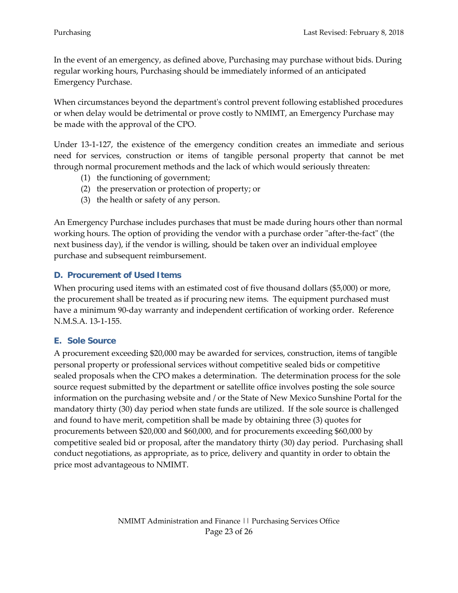In the event of an emergency, as defined above, Purchasing may purchase without bids. During regular working hours, Purchasing should be immediately informed of an anticipated Emergency Purchase.

When circumstances beyond the department's control prevent following established procedures or when delay would be detrimental or prove costly to NMIMT, an Emergency Purchase may be made with the approval of the CPO.

Under 13-1-127, the existence of the emergency condition creates an immediate and serious need for services, construction or items of tangible personal property that cannot be met through normal procurement methods and the lack of which would seriously threaten:

- (1) the functioning of government;
- (2) the preservation or protection of property; or
- (3) the health or safety of any person.

An Emergency Purchase includes purchases that must be made during hours other than normal working hours. The option of providing the vendor with a purchase order "after-the-fact" (the next business day), if the vendor is willing, should be taken over an individual employee purchase and subsequent reimbursement.

## <span id="page-22-0"></span>**D. Procurement of Used Items**

When procuring used items with an estimated cost of five thousand dollars (\$5,000) or more, the procurement shall be treated as if procuring new items. The equipment purchased must have a minimum 90-day warranty and independent certification of working order. Reference N.M.S.A. 13-1-155.

## <span id="page-22-1"></span>**E. Sole Source**

A procurement exceeding \$20,000 may be awarded for services, construction, items of tangible personal property or professional services without competitive sealed bids or competitive sealed proposals when the CPO makes a determination. The determination process for the sole source request submitted by the department or satellite office involves posting the sole source information on the purchasing website and / or the State of New Mexico Sunshine Portal for the mandatory thirty (30) day period when state funds are utilized. If the sole source is challenged and found to have merit, competition shall be made by obtaining three (3) quotes for procurements between \$20,000 and \$60,000, and for procurements exceeding \$60,000 by competitive sealed bid or proposal, after the mandatory thirty (30) day period. Purchasing shall conduct negotiations, as appropriate, as to price, delivery and quantity in order to obtain the price most advantageous to NMIMT.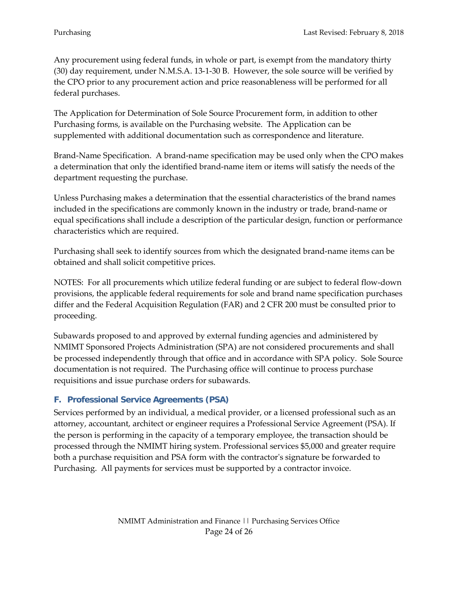Any procurement using federal funds, in whole or part, is exempt from the mandatory thirty (30) day requirement, under N.M.S.A. 13-1-30 B. However, the sole source will be verified by the CPO prior to any procurement action and price reasonableness will be performed for all federal purchases.

The Application for Determination of Sole Source Procurement form, in addition to other Purchasing forms, is available on the Purchasing website. The Application can be supplemented with additional documentation such as correspondence and literature.

Brand-Name Specification. A brand-name specification may be used only when the CPO makes a determination that only the identified brand-name item or items will satisfy the needs of the department requesting the purchase.

Unless Purchasing makes a determination that the essential characteristics of the brand names included in the specifications are commonly known in the industry or trade, brand-name or equal specifications shall include a description of the particular design, function or performance characteristics which are required.

Purchasing shall seek to identify sources from which the designated brand-name items can be obtained and shall solicit competitive prices.

NOTES: For all procurements which utilize federal funding or are subject to federal flow-down provisions, the applicable federal requirements for sole and brand name specification purchases differ and the Federal Acquisition Regulation (FAR) and 2 CFR 200 must be consulted prior to proceeding.

Subawards proposed to and approved by external funding agencies and administered by NMIMT Sponsored Projects Administration (SPA) are not considered procurements and shall be processed independently through that office and in accordance with SPA policy. Sole Source documentation is not required. The Purchasing office will continue to process purchase requisitions and issue purchase orders for subawards.

## <span id="page-23-0"></span>**F. Professional Service Agreements (PSA)**

Services performed by an individual, a medical provider, or a licensed professional such as an attorney, accountant, architect or engineer requires a Professional Service Agreement (PSA). If the person is performing in the capacity of a temporary employee, the transaction should be processed through the NMIMT hiring system. Professional services \$5,000 and greater require both a purchase requisition and PSA form with the contractor's signature be forwarded to Purchasing. All payments for services must be supported by a contractor invoice.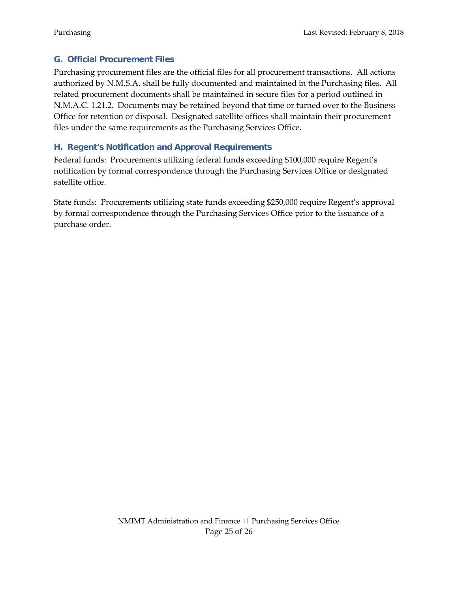## <span id="page-24-0"></span>**G. Official Procurement Files**

Purchasing procurement files are the official files for all procurement transactions. All actions authorized by N.M.S.A. shall be fully documented and maintained in the Purchasing files. All related procurement documents shall be maintained in secure files for a period outlined in N.M.A.C. 1.21.2. Documents may be retained beyond that time or turned over to the Business Office for retention or disposal. Designated satellite offices shall maintain their procurement files under the same requirements as the Purchasing Services Office.

## <span id="page-24-1"></span>**H. Regent's Notification and Approval Requirements**

Federal funds: Procurements utilizing federal funds exceeding \$100,000 require Regent's notification by formal correspondence through the Purchasing Services Office or designated satellite office.

State funds: Procurements utilizing state funds exceeding \$250,000 require Regent's approval by formal correspondence through the Purchasing Services Office prior to the issuance of a purchase order.